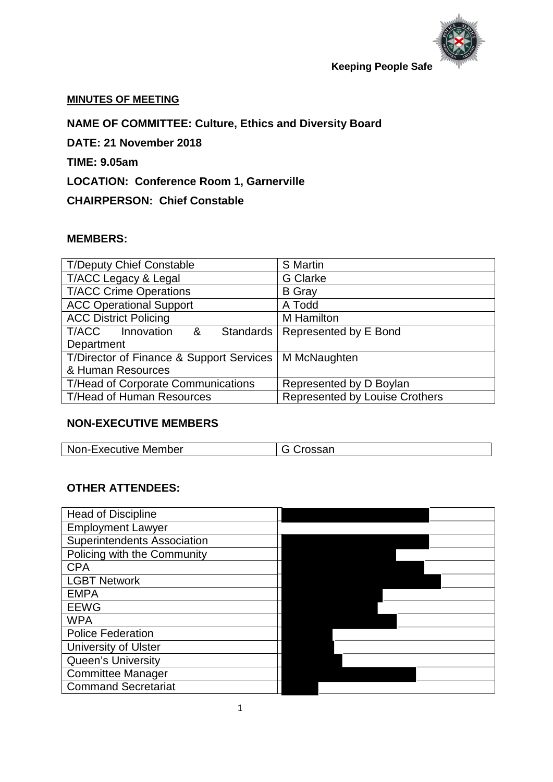

#### **MINUTES OF MEETING**

# **NAME OF COMMITTEE: Culture, Ethics and Diversity Board**

**DATE: 21 November 2018** 

**TIME: 9.05am**

#### **LOCATION: Conference Room 1, Garnerville**

**CHAIRPERSON: Chief Constable**

#### **MEMBERS:**

| <b>T/Deputy Chief Constable</b>          | <b>S</b> Martin                       |
|------------------------------------------|---------------------------------------|
| T/ACC Legacy & Legal                     | <b>G</b> Clarke                       |
| <b>T/ACC Crime Operations</b>            | <b>B</b> Gray                         |
| <b>ACC Operational Support</b>           | A Todd                                |
| <b>ACC District Policing</b>             | <b>M</b> Hamilton                     |
| T/ACC Innovation &<br>Standards          | Represented by E Bond                 |
| Department                               |                                       |
| T/Director of Finance & Support Services | M McNaughten                          |
| & Human Resources                        |                                       |
| T/Head of Corporate Communications       | Represented by D Boylan               |
| <b>T/Head of Human Resources</b>         | <b>Represented by Louise Crothers</b> |

#### **NON-EXECUTIVE MEMBERS**

|  | Non-Executive Member | <b>G</b> Crossan |
|--|----------------------|------------------|
|--|----------------------|------------------|

#### **OTHER ATTENDEES:**

| <b>Head of Discipline</b>          |  |
|------------------------------------|--|
| <b>Employment Lawyer</b>           |  |
| <b>Superintendents Association</b> |  |
| Policing with the Community        |  |
| <b>CPA</b>                         |  |
| <b>LGBT Network</b>                |  |
| <b>EMPA</b>                        |  |
| <b>EEWG</b>                        |  |
| <b>WPA</b>                         |  |
| <b>Police Federation</b>           |  |
| <b>University of Ulster</b>        |  |
| <b>Queen's University</b>          |  |
| <b>Committee Manager</b>           |  |
| <b>Command Secretariat</b>         |  |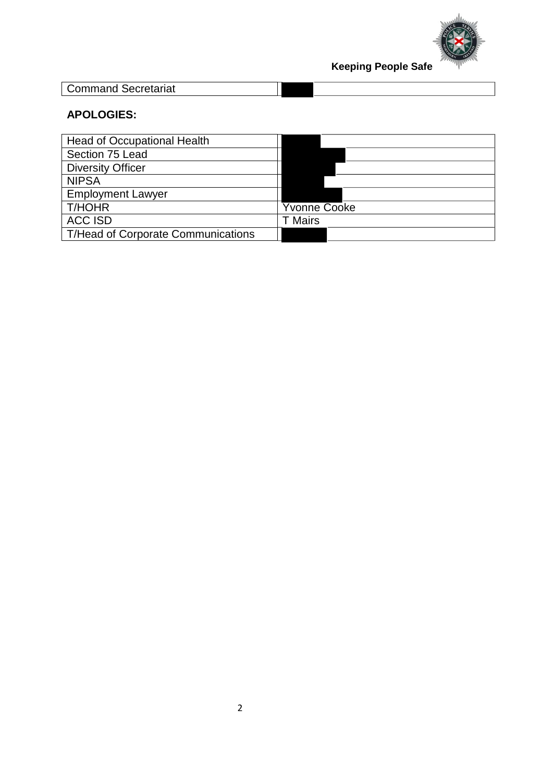

Command Secretariat

# **APOLOGIES:**

| <b>Head of Occupational Health</b>        |                     |
|-------------------------------------------|---------------------|
| Section 75 Lead                           |                     |
| <b>Diversity Officer</b>                  |                     |
| <b>NIPSA</b>                              |                     |
| <b>Employment Lawyer</b>                  |                     |
| <b>T/HOHR</b>                             | <b>Yvonne Cooke</b> |
| <b>ACC ISD</b>                            | <b>T</b> Mairs      |
| <b>T/Head of Corporate Communications</b> |                     |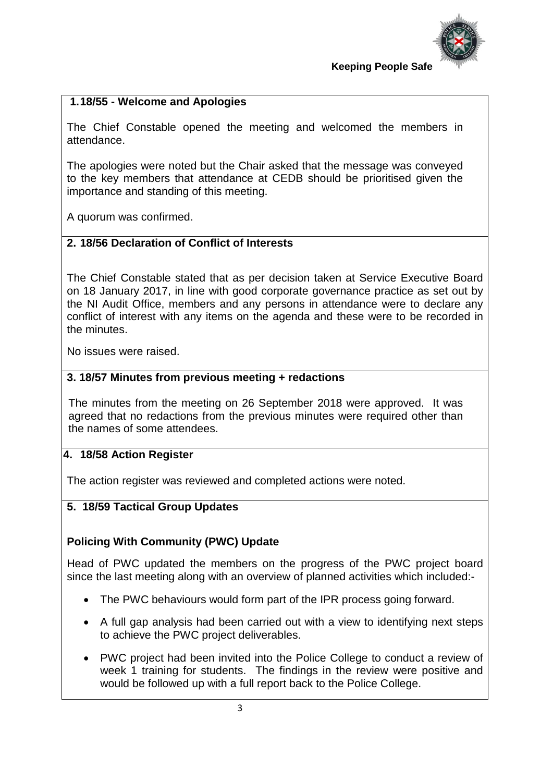

#### **1.18/55 - Welcome and Apologies**

The Chief Constable opened the meeting and welcomed the members in attendance.

The apologies were noted but the Chair asked that the message was conveyed to the key members that attendance at CEDB should be prioritised given the importance and standing of this meeting.

A quorum was confirmed.

#### **2. 18/56 Declaration of Conflict of Interests**

The Chief Constable stated that as per decision taken at Service Executive Board on 18 January 2017, in line with good corporate governance practice as set out by the NI Audit Office, members and any persons in attendance were to declare any conflict of interest with any items on the agenda and these were to be recorded in the minutes.

No issues were raised.

#### **3. 18/57 Minutes from previous meeting + redactions**

The minutes from the meeting on 26 September 2018 were approved. It was agreed that no redactions from the previous minutes were required other than the names of some attendees.

#### **4. 18/58 Action Register**

The action register was reviewed and completed actions were noted.

#### **5. 18/59 Tactical Group Updates**

### **Policing With Community (PWC) Update**

Head of PWC updated the members on the progress of the PWC project board since the last meeting along with an overview of planned activities which included:-

- The PWC behaviours would form part of the IPR process going forward.
- A full gap analysis had been carried out with a view to identifying next steps to achieve the PWC project deliverables.
- PWC project had been invited into the Police College to conduct a review of week 1 training for students. The findings in the review were positive and would be followed up with a full report back to the Police College.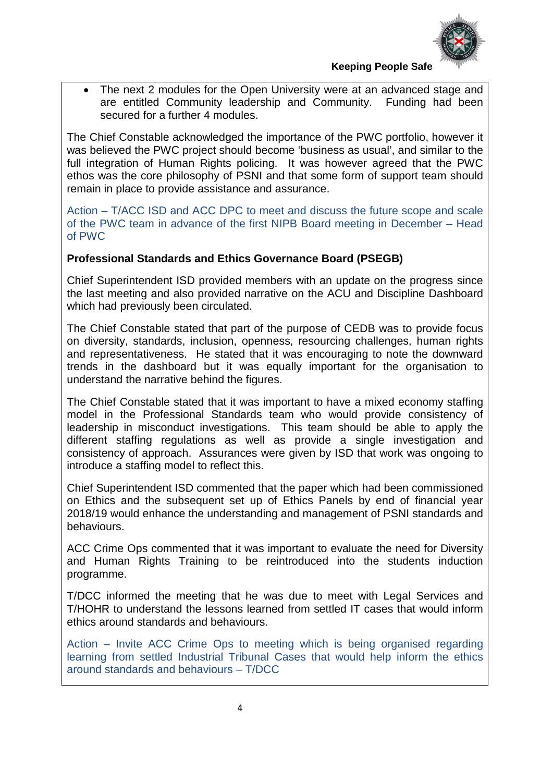

• The next 2 modules for the Open University were at an advanced stage and are entitled Community leadership and Community. Funding had been secured for a further 4 modules.

The Chief Constable acknowledged the importance of the PWC portfolio, however it was believed the PWC project should become 'business as usual', and similar to the full integration of Human Rights policing. It was however agreed that the PWC ethos was the core philosophy of PSNI and that some form of support team should remain in place to provide assistance and assurance.

Action – T/ACC ISD and ACC DPC to meet and discuss the future scope and scale of the PWC team in advance of the first NIPB Board meeting in December – Head of PWC

#### **Professional Standards and Ethics Governance Board (PSEGB)**

Chief Superintendent ISD provided members with an update on the progress since the last meeting and also provided narrative on the ACU and Discipline Dashboard which had previously been circulated.

The Chief Constable stated that part of the purpose of CEDB was to provide focus on diversity, standards, inclusion, openness, resourcing challenges, human rights and representativeness. He stated that it was encouraging to note the downward trends in the dashboard but it was equally important for the organisation to understand the narrative behind the figures.

The Chief Constable stated that it was important to have a mixed economy staffing model in the Professional Standards team who would provide consistency of leadership in misconduct investigations. This team should be able to apply the different staffing regulations as well as provide a single investigation and consistency of approach. Assurances were given by ISD that work was ongoing to introduce a staffing model to reflect this.

Chief Superintendent ISD commented that the paper which had been commissioned on Ethics and the subsequent set up of Ethics Panels by end of financial year 2018/19 would enhance the understanding and management of PSNI standards and behaviours.

ACC Crime Ops commented that it was important to evaluate the need for Diversity and Human Rights Training to be reintroduced into the students induction programme.

T/DCC informed the meeting that he was due to meet with Legal Services and T/HOHR to understand the lessons learned from settled IT cases that would inform ethics around standards and behaviours.

Action – Invite ACC Crime Ops to meeting which is being organised regarding learning from settled Industrial Tribunal Cases that would help inform the ethics around standards and behaviours – T/DCC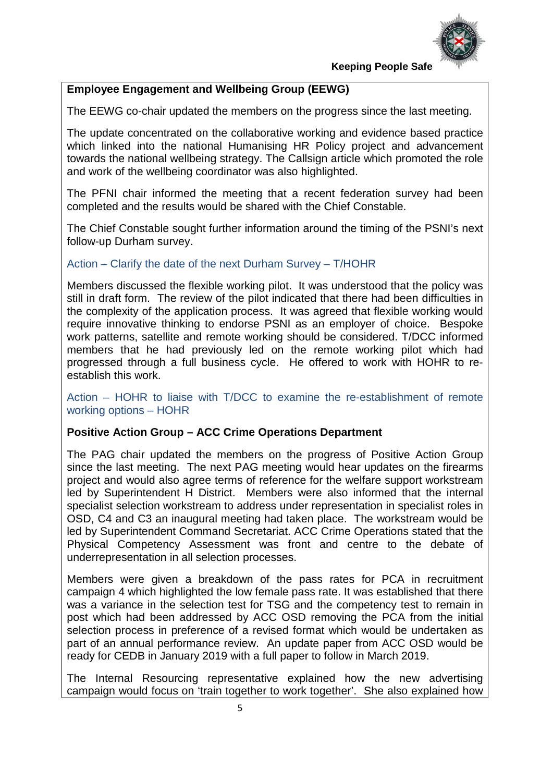

### **Employee Engagement and Wellbeing Group (EEWG)**

The EEWG co-chair updated the members on the progress since the last meeting.

The update concentrated on the collaborative working and evidence based practice which linked into the national Humanising HR Policy project and advancement towards the national wellbeing strategy. The Callsign article which promoted the role and work of the wellbeing coordinator was also highlighted.

The PFNI chair informed the meeting that a recent federation survey had been completed and the results would be shared with the Chief Constable.

The Chief Constable sought further information around the timing of the PSNI's next follow-up Durham survey.

Action – Clarify the date of the next Durham Survey – T/HOHR

Members discussed the flexible working pilot. It was understood that the policy was still in draft form. The review of the pilot indicated that there had been difficulties in the complexity of the application process. It was agreed that flexible working would require innovative thinking to endorse PSNI as an employer of choice. Bespoke work patterns, satellite and remote working should be considered. T/DCC informed members that he had previously led on the remote working pilot which had progressed through a full business cycle. He offered to work with HOHR to reestablish this work.

Action – HOHR to liaise with T/DCC to examine the re-establishment of remote working options – HOHR

#### **Positive Action Group – ACC Crime Operations Department**

The PAG chair updated the members on the progress of Positive Action Group since the last meeting. The next PAG meeting would hear updates on the firearms project and would also agree terms of reference for the welfare support workstream led by Superintendent H District. Members were also informed that the internal specialist selection workstream to address under representation in specialist roles in OSD, C4 and C3 an inaugural meeting had taken place. The workstream would be led by Superintendent Command Secretariat. ACC Crime Operations stated that the Physical Competency Assessment was front and centre to the debate of underrepresentation in all selection processes.

Members were given a breakdown of the pass rates for PCA in recruitment campaign 4 which highlighted the low female pass rate. It was established that there was a variance in the selection test for TSG and the competency test to remain in post which had been addressed by ACC OSD removing the PCA from the initial selection process in preference of a revised format which would be undertaken as part of an annual performance review. An update paper from ACC OSD would be ready for CEDB in January 2019 with a full paper to follow in March 2019.

The Internal Resourcing representative explained how the new advertising campaign would focus on 'train together to work together'. She also explained how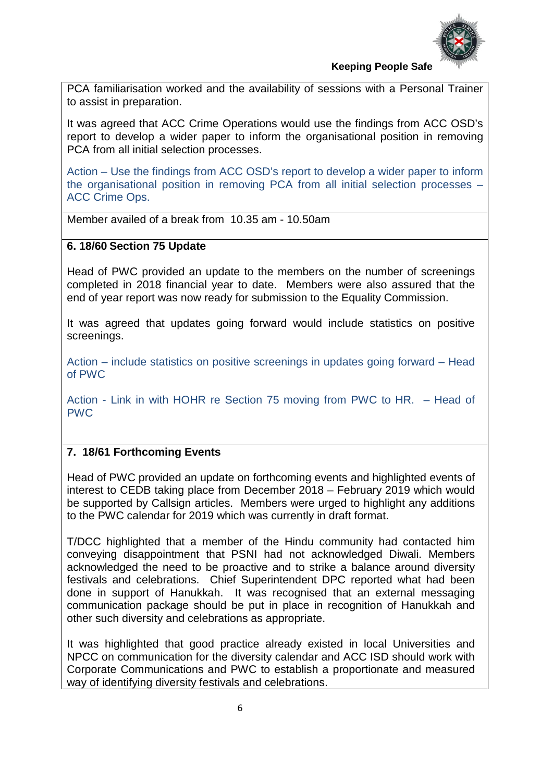

PCA familiarisation worked and the availability of sessions with a Personal Trainer to assist in preparation.

It was agreed that ACC Crime Operations would use the findings from ACC OSD's report to develop a wider paper to inform the organisational position in removing PCA from all initial selection processes.

Action – Use the findings from ACC OSD's report to develop a wider paper to inform the organisational position in removing PCA from all initial selection processes – ACC Crime Ops.

Member availed of a break from 10.35 am - 10.50am

#### **6. 18/60 Section 75 Update**

Head of PWC provided an update to the members on the number of screenings completed in 2018 financial year to date. Members were also assured that the end of year report was now ready for submission to the Equality Commission.

It was agreed that updates going forward would include statistics on positive screenings.

Action – include statistics on positive screenings in updates going forward – Head of PWC

Action - Link in with HOHR re Section 75 moving from PWC to HR. – Head of PWC

### **7. 18/61 Forthcoming Events**

Head of PWC provided an update on forthcoming events and highlighted events of interest to CEDB taking place from December 2018 – February 2019 which would be supported by Callsign articles. Members were urged to highlight any additions to the PWC calendar for 2019 which was currently in draft format.

T/DCC highlighted that a member of the Hindu community had contacted him conveying disappointment that PSNI had not acknowledged Diwali. Members acknowledged the need to be proactive and to strike a balance around diversity festivals and celebrations. Chief Superintendent DPC reported what had been done in support of Hanukkah. It was recognised that an external messaging communication package should be put in place in recognition of Hanukkah and other such diversity and celebrations as appropriate.

It was highlighted that good practice already existed in local Universities and NPCC on communication for the diversity calendar and ACC ISD should work with Corporate Communications and PWC to establish a proportionate and measured way of identifying diversity festivals and celebrations.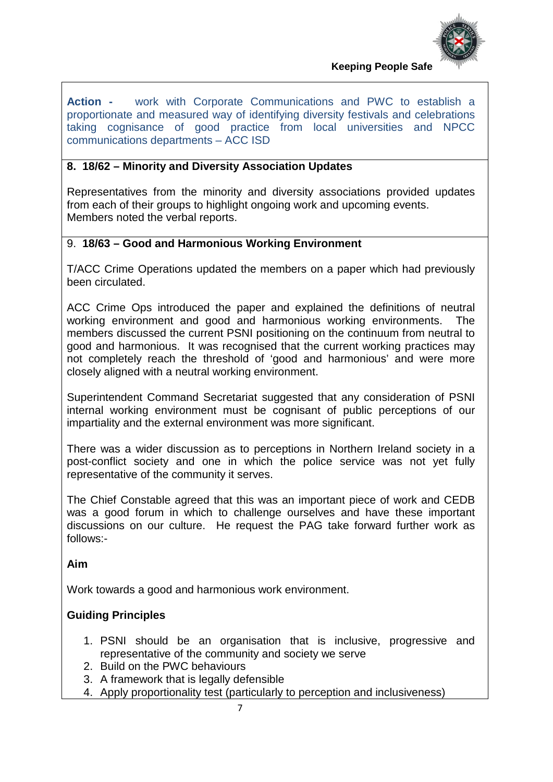

**Action -** work with Corporate Communications and PWC to establish a proportionate and measured way of identifying diversity festivals and celebrations taking cognisance of good practice from local universities and NPCC communications departments – ACC ISD

#### **8. 18/62 – Minority and Diversity Association Updates**

Representatives from the minority and diversity associations provided updates from each of their groups to highlight ongoing work and upcoming events. Members noted the verbal reports.

### 9. **18/63 – Good and Harmonious Working Environment**

T/ACC Crime Operations updated the members on a paper which had previously been circulated.

ACC Crime Ops introduced the paper and explained the definitions of neutral working environment and good and harmonious working environments. members discussed the current PSNI positioning on the continuum from neutral to good and harmonious. It was recognised that the current working practices may not completely reach the threshold of 'good and harmonious' and were more closely aligned with a neutral working environment.

Superintendent Command Secretariat suggested that any consideration of PSNI internal working environment must be cognisant of public perceptions of our impartiality and the external environment was more significant.

There was a wider discussion as to perceptions in Northern Ireland society in a post-conflict society and one in which the police service was not yet fully representative of the community it serves.

The Chief Constable agreed that this was an important piece of work and CEDB was a good forum in which to challenge ourselves and have these important discussions on our culture. He request the PAG take forward further work as follows:-

#### **Aim**

Work towards a good and harmonious work environment.

### **Guiding Principles**

- 1. PSNI should be an organisation that is inclusive, progressive and representative of the community and society we serve
- 2. Build on the PWC behaviours
- 3. A framework that is legally defensible
- 4. Apply proportionality test (particularly to perception and inclusiveness)